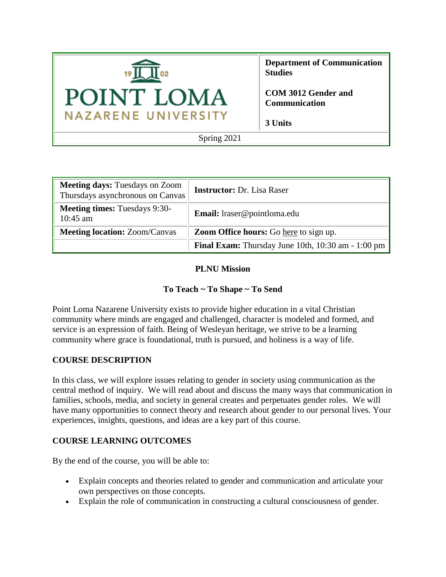

**Department of Communication Studies**

**COM 3012 Gender and Communication**

**3 Units**

| <b>Meeting days: Tuesdays on Zoom</b><br>Thursdays asynchronous on Canvas | <b>Instructor:</b> Dr. Lisa Raser                         |
|---------------------------------------------------------------------------|-----------------------------------------------------------|
| <b>Meeting times:</b> Tuesdays 9:30-<br>$10:45$ am                        | Email: lraser@pointloma.edu                               |
| <b>Meeting location: Zoom/Canvas</b>                                      | <b>Zoom Office hours:</b> Go here to sign up.             |
|                                                                           | <b>Final Exam:</b> Thursday June 10th, 10:30 am - 1:00 pm |

### **PLNU Mission**

# **To Teach ~ To Shape ~ To Send**

Point Loma Nazarene University exists to provide higher education in a vital Christian community where minds are engaged and challenged, character is modeled and formed, and service is an expression of faith. Being of Wesleyan heritage, we strive to be a learning community where grace is foundational, truth is pursued, and holiness is a way of life.

# **COURSE DESCRIPTION**

In this class, we will explore issues relating to gender in society using communication as the central method of inquiry. We will read about and discuss the many ways that communication in families, schools, media, and society in general creates and perpetuates gender roles. We will have many opportunities to connect theory and research about gender to our personal lives. Your experiences, insights, questions, and ideas are a key part of this course.

### **COURSE LEARNING OUTCOMES**

By the end of the course, you will be able to:

- Explain concepts and theories related to gender and communication and articulate your own perspectives on those concepts.
- Explain the role of communication in constructing a cultural consciousness of gender.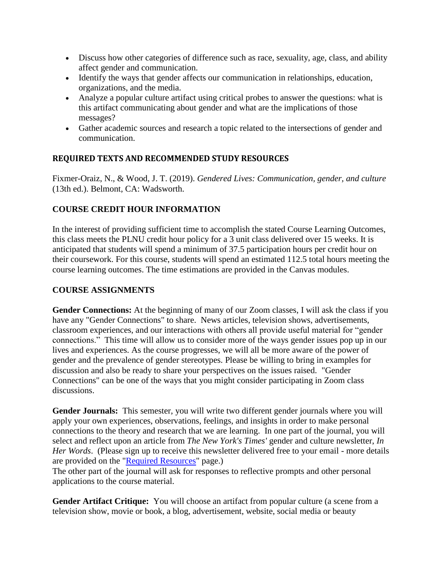- Discuss how other categories of difference such as race, sexuality, age, class, and ability affect gender and communication.
- Identify the ways that gender affects our communication in relationships, education, organizations, and the media.
- Analyze a popular culture artifact using critical probes to answer the questions: what is this artifact communicating about gender and what are the implications of those messages?
- Gather academic sources and research a topic related to the intersections of gender and communication.

# **REQUIRED TEXTS AND RECOMMENDED STUDY RESOURCES**

Fixmer-Oraiz, N., & Wood, J. T. (2019). *Gendered Lives: Communication, gender, and culture* (13th ed.). Belmont, CA: Wadsworth.

# **COURSE CREDIT HOUR INFORMATION**

In the interest of providing sufficient time to accomplish the stated Course Learning Outcomes, this class meets the PLNU credit hour policy for a 3 unit class delivered over 15 weeks. It is anticipated that students will spend a minimum of 37.5 participation hours per credit hour on their coursework. For this course, students will spend an estimated 112.5 total hours meeting the course learning outcomes. The time estimations are provided in the Canvas modules.

### **COURSE ASSIGNMENTS**

**Gender Connections:** At the beginning of many of our Zoom classes, I will ask the class if you have any "Gender Connections" to share. News articles, television shows, advertisements, classroom experiences, and our interactions with others all provide useful material for "gender connections." This time will allow us to consider more of the ways gender issues pop up in our lives and experiences. As the course progresses, we will all be more aware of the power of gender and the prevalence of gender stereotypes. Please be willing to bring in examples for discussion and also be ready to share your perspectives on the issues raised. "Gender Connections" can be one of the ways that you might consider participating in Zoom class discussions.

**Gender Journals:** This semester, you will write two different gender journals where you will apply your own experiences, observations, feelings, and insights in order to make personal connections to the theory and research that we are learning. In one part of the journal, you will select and reflect upon an article from *The New York's Times'* gender and culture newsletter, *In Her Words*. (Please sign up to receive this newsletter delivered free to your email - more details are provided on the ["Required Resources"](file://///courses/54750/pages/required-resources) page.)

The other part of the journal will ask for responses to reflective prompts and other personal applications to the course material.

**Gender Artifact Critique:** You will choose an artifact from popular culture (a scene from a television show, movie or book, a blog, advertisement, website, social media or beauty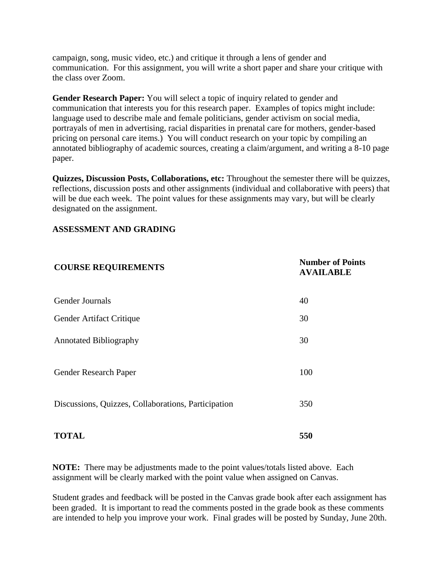campaign, song, music video, etc.) and critique it through a lens of gender and communication. For this assignment, you will write a short paper and share your critique with the class over Zoom.

**Gender Research Paper:** You will select a topic of inquiry related to gender and communication that interests you for this research paper. Examples of topics might include: language used to describe male and female politicians, gender activism on social media, portrayals of men in advertising, racial disparities in prenatal care for mothers, gender-based pricing on personal care items.) You will conduct research on your topic by compiling an annotated bibliography of academic sources, creating a claim/argument, and writing a 8-10 page paper.

**Quizzes, Discussion Posts, Collaborations, etc:** Throughout the semester there will be quizzes, reflections, discussion posts and other assignments (individual and collaborative with peers) that will be due each week. The point values for these assignments may vary, but will be clearly designated on the assignment.

#### **ASSESSMENT AND GRADING**

| <b>COURSE REQUIREMENTS</b>                          | <b>Number of Points</b><br><b>AVAILABLE</b> |
|-----------------------------------------------------|---------------------------------------------|
| <b>Gender Journals</b>                              | 40                                          |
| Gender Artifact Critique                            | 30                                          |
| <b>Annotated Bibliography</b>                       | 30                                          |
| Gender Research Paper                               | 100                                         |
| Discussions, Quizzes, Collaborations, Participation | 350                                         |
|                                                     |                                             |

**TOTAL 550**

**NOTE:** There may be adjustments made to the point values/totals listed above. Each assignment will be clearly marked with the point value when assigned on Canvas.

Student grades and feedback will be posted in the Canvas grade book after each assignment has been graded. It is important to read the comments posted in the grade book as these comments are intended to help you improve your work. Final grades will be posted by Sunday, June 20th.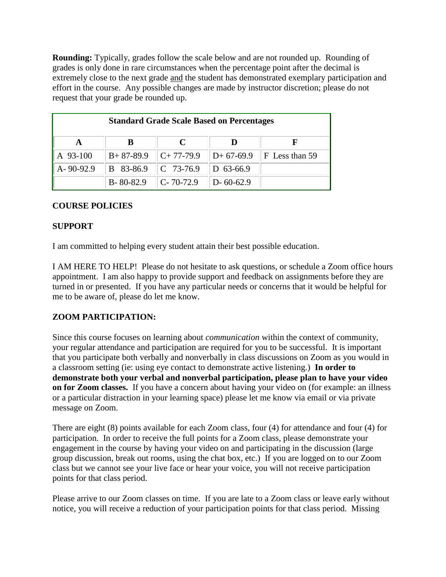**Rounding:** Typically, grades follow the scale below and are not rounded up. Rounding of grades is only done in rare circumstances when the percentage point after the decimal is extremely close to the next grade and the student has demonstrated exemplary participation and effort in the course. Any possible changes are made by instructor discretion; please do not request that your grade be rounded up.

| <b>Standard Grade Scale Based on Percentages</b> |                 |                        |                 |                    |
|--------------------------------------------------|-----------------|------------------------|-----------------|--------------------|
|                                                  |                 | C                      |                 |                    |
| A 93-100                                         | $B+87-89.9$     | $C+77-79.9$            | $D+67-69.9$     | $ F $ Less than 59 |
| A-90-92.9                                        | B 83-86.9       | $C$ 73-76.9            | D $63-66.9$     |                    |
|                                                  | $B - 80 - 82.9$ | $\parallel$ C- 70-72.9 | $D - 60 - 62.9$ |                    |

### **COURSE POLICIES**

### **SUPPORT**

I am committed to helping every student attain their best possible education.

I AM HERE TO HELP! Please do not hesitate to ask questions, or schedule a Zoom office hours appointment. I am also happy to provide support and feedback on assignments before they are turned in or presented. If you have any particular needs or concerns that it would be helpful for me to be aware of, please do let me know.

### **ZOOM PARTICIPATION:**

Since this course focuses on learning about *communication* within the context of community, your regular attendance and participation are required for you to be successful. It is important that you participate both verbally and nonverbally in class discussions on Zoom as you would in a classroom setting (ie: using eye contact to demonstrate active listening.) **In order to demonstrate both your verbal and nonverbal participation, please plan to have your video on for Zoom classes.** If you have a concern about having your video on (for example: an illness or a particular distraction in your learning space) please let me know via email or via private message on Zoom.

There are eight (8) points available for each Zoom class, four (4) for attendance and four (4) for participation. In order to receive the full points for a Zoom class, please demonstrate your engagement in the course by having your video on and participating in the discussion (large group discussion, break out rooms, using the chat box, etc.) If you are logged on to our Zoom class but we cannot see your live face or hear your voice, you will not receive participation points for that class period.

Please arrive to our Zoom classes on time. If you are late to a Zoom class or leave early without notice, you will receive a reduction of your participation points for that class period. Missing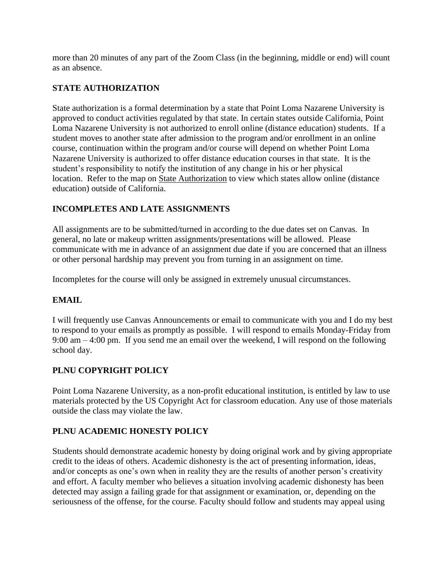more than 20 minutes of any part of the Zoom Class (in the beginning, middle or end) will count as an absence.

# **STATE AUTHORIZATION**

State authorization is a formal determination by a state that Point Loma Nazarene University is approved to conduct activities regulated by that state. In certain states outside California, Point Loma Nazarene University is not authorized to enroll online (distance education) students. If a student moves to another state after admission to the program and/or enrollment in an online course, continuation within the program and/or course will depend on whether Point Loma Nazarene University is authorized to offer distance education courses in that state. It is the student's responsibility to notify the institution of any change in his or her physical location. Refer to the map on [State Authorization](https://www.pointloma.edu/offices/office-institutional-effectiveness-research/disclosures) to view which states allow online (distance education) outside of California.

### **INCOMPLETES AND LATE ASSIGNMENTS**

All assignments are to be submitted/turned in according to the due dates set on Canvas. In general, no late or makeup written assignments/presentations will be allowed. Please communicate with me in advance of an assignment due date if you are concerned that an illness or other personal hardship may prevent you from turning in an assignment on time.

Incompletes for the course will only be assigned in extremely unusual circumstances.

### **EMAIL**

I will frequently use Canvas Announcements or email to communicate with you and I do my best to respond to your emails as promptly as possible. I will respond to emails Monday-Friday from 9:00 am – 4:00 pm. If you send me an email over the weekend, I will respond on the following school day.

# **PLNU COPYRIGHT POLICY**

Point Loma Nazarene University, as a non-profit educational institution, is entitled by law to use materials protected by the US Copyright Act for classroom education. Any use of those materials outside the class may violate the law.

# **PLNU ACADEMIC HONESTY POLICY**

Students should demonstrate academic honesty by doing original work and by giving appropriate credit to the ideas of others. Academic dishonesty is the act of presenting information, ideas, and/or concepts as one's own when in reality they are the results of another person's creativity and effort. A faculty member who believes a situation involving academic dishonesty has been detected may assign a failing grade for that assignment or examination, or, depending on the seriousness of the offense, for the course. Faculty should follow and students may appeal using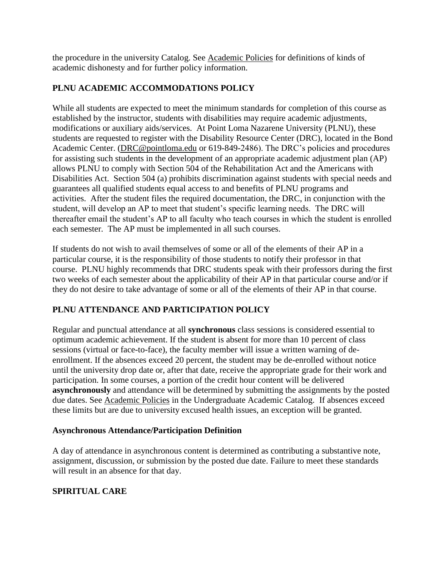the procedure in the university Catalog. See [Academic Policies](http://catalog.pointloma.edu/content.php?catoid=18&navoid=1278) for definitions of kinds of academic dishonesty and for further policy information.

### **PLNU ACADEMIC ACCOMMODATIONS POLICY**

While all students are expected to meet the minimum standards for completion of this course as established by the instructor, students with disabilities may require academic adjustments, modifications or auxiliary aids/services. At Point Loma Nazarene University (PLNU), these students are requested to register with the Disability Resource Center (DRC), located in the Bond Academic Center. [\(DRC@pointloma.edu](mailto:DRC@pointloma.edu) or 619-849-2486). The DRC's policies and procedures for assisting such students in the development of an appropriate academic adjustment plan (AP) allows PLNU to comply with Section 504 of the Rehabilitation Act and the Americans with Disabilities Act. Section 504 (a) prohibits discrimination against students with special needs and guarantees all qualified students equal access to and benefits of PLNU programs and activities. After the student files the required documentation, the DRC, in conjunction with the student, will develop an AP to meet that student's specific learning needs. The DRC will thereafter email the student's AP to all faculty who teach courses in which the student is enrolled each semester. The AP must be implemented in all such courses.

If students do not wish to avail themselves of some or all of the elements of their AP in a particular course, it is the responsibility of those students to notify their professor in that course. PLNU highly recommends that DRC students speak with their professors during the first two weeks of each semester about the applicability of their AP in that particular course and/or if they do not desire to take advantage of some or all of the elements of their AP in that course.

# **PLNU ATTENDANCE AND PARTICIPATION POLICY**

Regular and punctual attendance at all **synchronous** class sessions is considered essential to optimum academic achievement. If the student is absent for more than 10 percent of class sessions (virtual or face-to-face), the faculty member will issue a written warning of deenrollment. If the absences exceed 20 percent, the student may be de-enrolled without notice until the university drop date or, after that date, receive the appropriate grade for their work and participation. In some courses, a portion of the credit hour content will be delivered **asynchronously** and attendance will be determined by submitting the assignments by the posted due dates. See [Academic Policies](https://catalog.pointloma.edu/content.php?catoid=46&navoid=2650#Class_Attendance) in the Undergraduate Academic Catalog. If absences exceed these limits but are due to university excused health issues, an exception will be granted.

### **Asynchronous Attendance/Participation Definition**

A day of attendance in asynchronous content is determined as contributing a substantive note, assignment, discussion, or submission by the posted due date. Failure to meet these standards will result in an absence for that day.

# **SPIRITUAL CARE**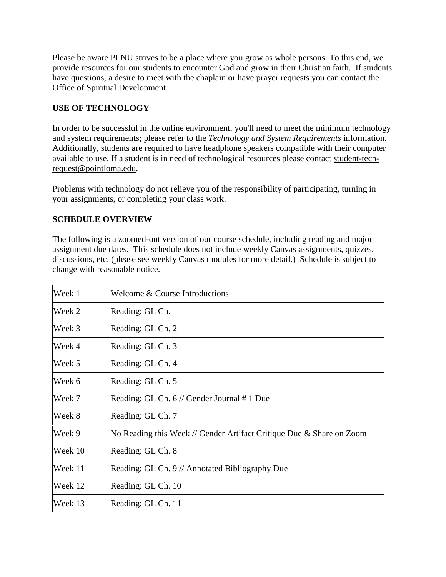Please be aware PLNU strives to be a place where you grow as whole persons. To this end, we provide resources for our students to encounter God and grow in their Christian faith. If students have questions, a desire to meet with the chaplain or have prayer requests you can contact the [Office of Spiritual Development](https://www.pointloma.edu/offices/spiritual-development)

### **USE OF TECHNOLOGY**

In order to be successful in the online environment, you'll need to meet the minimum technology and system requirements; please refer to the *[Technology and System Requirements](https://help.pointloma.edu/TDClient/1808/Portal/KB/ArticleDet?ID=108349)* information. Additionally, students are required to have headphone speakers compatible with their computer available to use. If a student is in need of technological resources please contact [student-tech](mailto:student-tech-request@pointloma.edu)[request@pointloma.edu.](mailto:student-tech-request@pointloma.edu)

Problems with technology do not relieve you of the responsibility of participating, turning in your assignments, or completing your class work.

### **SCHEDULE OVERVIEW**

The following is a zoomed-out version of our course schedule, including reading and major assignment due dates. This schedule does not include weekly Canvas assignments, quizzes, discussions, etc. (please see weekly Canvas modules for more detail.) Schedule is subject to change with reasonable notice.

| Week 1  | Welcome & Course Introductions                                       |
|---------|----------------------------------------------------------------------|
| Week 2  | Reading: GL Ch. 1                                                    |
| Week 3  | Reading: GL Ch. 2                                                    |
| Week 4  | Reading: GL Ch. 3                                                    |
| Week 5  | Reading: GL Ch. 4                                                    |
| Week 6  | Reading: GL Ch. 5                                                    |
| Week 7  | Reading: GL Ch. 6 // Gender Journal # 1 Due                          |
| Week 8  | Reading: GL Ch. 7                                                    |
| Week 9  | No Reading this Week // Gender Artifact Critique Due & Share on Zoom |
| Week 10 | Reading: GL Ch. 8                                                    |
| Week 11 | Reading: GL Ch. 9 // Annotated Bibliography Due                      |
| Week 12 | Reading: GL Ch. 10                                                   |
| Week 13 | Reading: GL Ch. 11                                                   |